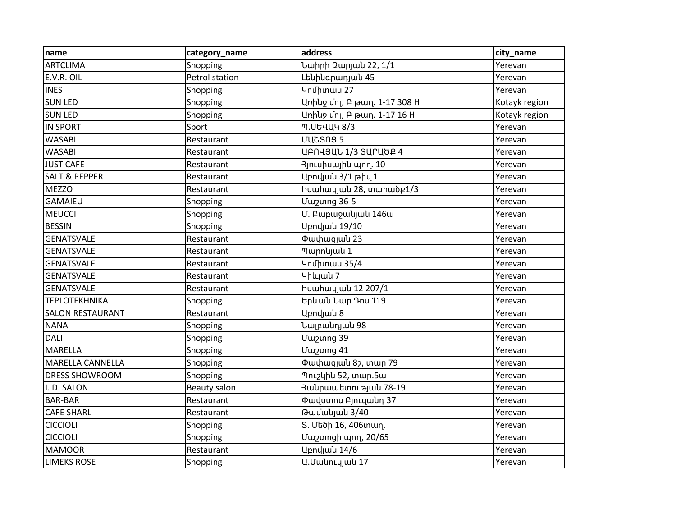| name                     | category_name  | address                                  | city_name     |
|--------------------------|----------------|------------------------------------------|---------------|
| <b>ARTCLIMA</b>          | Shopping       | Նաիրի 2արյան 22, 1/1                     | Yerevan       |
| E.V.R. OIL               | Petrol station | Լենինգրադյան 45                          | Yerevan       |
| <b>INES</b>              | Shopping       | Կոմիտաս 27                               | Yerevan       |
| <b>SUN LED</b>           | Shopping       | Առիևջ մոլ, Բ թաղ. 1-17 308 H             | Kotayk region |
| <b>SUN LED</b>           | Shopping       | Առիևջ մոլ, Բ թաղ. 1-17 16 H              | Kotayk region |
| <b>IN SPORT</b>          | Sport          | Պ.ՍԵՎԱԿ 8/3                              | Yerevan       |
| <b>WASABI</b>            | Restaurant     | UUCSNS <sub>5</sub>                      | Yerevan       |
| <b>WASABI</b>            | Restaurant     | ԱԲՈՎՅԱՆ 1/3 ՏԱՐԱԾՔ 4                     | Yerevan       |
| <b>JUST CAFE</b>         | Restaurant     | 3յուսիսային պող. 10                      | Yerevan       |
| <b>SALT &amp; PEPPER</b> | Restaurant     |                                          | Yerevan       |
| <b>MEZZO</b>             | Restaurant     | Իսահակյան 28, տարածբ1/3                  | Yerevan       |
| <b>GAMAIEU</b>           | Shopping       | <b>Uw</b> zunng 36-5                     | Yerevan       |
| <b>MEUCCI</b>            | Shopping       | Մ. Բաբաջակյակ 146ա                       | Yerevan       |
| <b>BESSINI</b>           | Shopping       | Աբովյան 19/10                            | Yerevan       |
| <b>GENATSVALE</b>        | Restaurant     | Փափազյան 23                              | Yerevan       |
| <b>GENATSVALE</b>        | Restaurant     | Պարոկյակ 1                               | Yerevan       |
| <b>GENATSVALE</b>        | Restaurant     | Կոմիտաս 35/4                             | Yerevan       |
| <b>GENATSVALE</b>        | Restaurant     | Կիևյան 7                                 | Yerevan       |
| <b>GENATSVALE</b>        | Restaurant     | <u>huwhw</u> ywu 12 207/1                | Yerevan       |
| <b>TEPLOTEKHNIKA</b>     | Shopping       | Երևան Նար Դոս 119                        | Yerevan       |
| <b>SALON RESTAURANT</b>  | Restaurant     | Աբովյան 8                                | Yerevan       |
| <b>NANA</b>              | Shopping       | Նալբանդյան 98                            | Yerevan       |
| <b>DALI</b>              | Shopping       | Uw <sub>2</sub> ung 39                   | Yerevan       |
| <b>MARELLA</b>           | Shopping       | Uw <sub>2</sub> ung 41                   | Yerevan       |
| <b>MARELLA CANNELLA</b>  | Shopping       | Փափազյաև 82, տար 79                      | Yerevan       |
| <b>DRESS SHOWROOM</b>    | Shopping       | Պուշկին 52, տար.5ա                       | Yerevan       |
| I.D. SALON               | Beauty salon   | Յանրապետության 78-19                     | Yerevan       |
| <b>BAR-BAR</b>           | Restaurant     | <b><i><u>Owyumnu Pinrqwun</u></i></b> 37 | Yerevan       |
| <b>CAFE SHARL</b>        | Restaurant     | Թամակյան 3/40                            | Yerevan       |
| <b>CICCIOLI</b>          | Shopping       | Տ. Մեծի 16, 406տաղ.                      | Yerevan       |
| <b>CICCIOLI</b>          | Shopping       | Մաշտոցի պող, 20/65                       | Yerevan       |
| <b>MAMOOR</b>            | Restaurant     | <b>Upnվյան 14/6</b>                      | Yerevan       |
| <b>LIMEKS ROSE</b>       | Shopping       | U. Մակուկյակ 17                          | Yerevan       |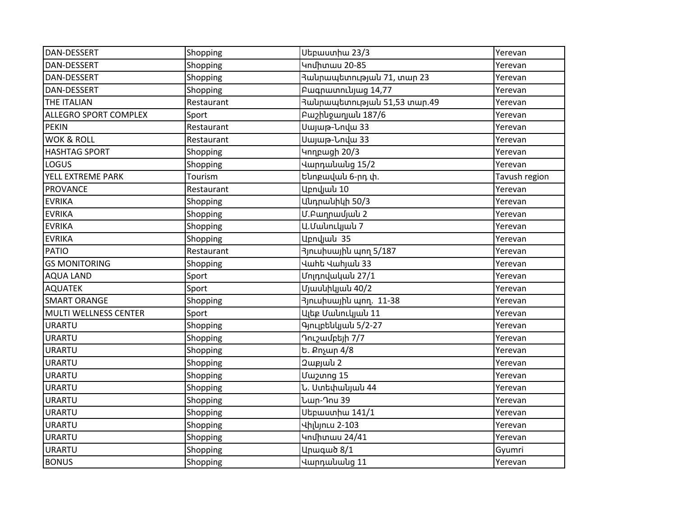| DAN-DESSERT                  | Shopping   | Սեբաստիա 23/3                      | Yerevan       |
|------------------------------|------------|------------------------------------|---------------|
| DAN-DESSERT                  | Shopping   | Կոմիտաս 20-85                      | Yerevan       |
| DAN-DESSERT                  | Shopping   | <b>Յա</b> նրապետության 71, տար 23  | Yerevan       |
| DAN-DESSERT                  | Shopping   | Pwgnwunnlujwg 14,77                | Yerevan       |
| THE ITALIAN                  | Restaurant | <b>Յանրապետության 51,53 տար.49</b> | Yerevan       |
| <b>ALLEGRO SPORT COMPLEX</b> | Sport      | Pwzhlownjwlu 187/6                 | Yerevan       |
| <b>PEKIN</b>                 | Restaurant | Սայաթ-Նովա 33                      | Yerevan       |
| <b>WOK &amp; ROLL</b>        | Restaurant | Սայաթ-Նովա 33                      | Yerevan       |
| <b>HASHTAG SPORT</b>         | Shopping   | Կողբացի 20/3                       | Yerevan       |
| LOGUS                        | Shopping   | Վարդակակց 15/2                     | Yerevan       |
| YELL EXTREME PARK            | Tourism    | Ենոբավան 6-րդ փ.                   | Tavush region |
| <b>PROVANCE</b>              | Restaurant | Աբովյան 10                         | Yerevan       |
| <b>EVRIKA</b>                | Shopping   | Անդրանիկի 50/3                     | Yerevan       |
| <b>EVRIKA</b>                | Shopping   | Մ.Բաղրամյան 2                      | Yerevan       |
| <b>EVRIKA</b>                | Shopping   | Ա.Մանուկյան 7                      | Yerevan       |
| <b>EVRIKA</b>                | Shopping   | Upnyjwu 35                         | Yerevan       |
| <b>PATIO</b>                 | Restaurant | 3յուսիսային պող 5/187              | Yerevan       |
| <b>GS MONITORING</b>         | Shopping   | Վաիե Վաիլաև 33                     | Yerevan       |
| <b>AQUA LAND</b>             | Sport      | Մոլդովական 27/1                    | Yerevan       |
| <b>AQUATEK</b>               | Sport      | Մյասնիկյան 40/2                    | Yerevan       |
| <b>SMART ORANGE</b>          | Shopping   | 3 n Luhu unn. 11-38                | Yerevan       |
| MULTI WELLNESS CENTER        | Sport      | Ալեբ Մանուկյան 11                  | Yerevan       |
| <b>URARTU</b>                | Shopping   | Գյուլբեևկյան 5/2-27                | Yerevan       |
| <b>URARTU</b>                | Shopping   | Դուշամբեյի 7/7                     | Yerevan       |
| <b>URARTU</b>                | Shopping   | Ե. Քոչար 4/8                       | Yerevan       |
| <b>URARTU</b>                | Shopping   | 2uppulu 2                          | Yerevan       |
| <b>URARTU</b>                | Shopping   | Uw <sub>2</sub> ung 15             | Yerevan       |
| <b>URARTU</b>                | Shopping   | Ն. Ստեփակյան 44                    | Yerevan       |
| <b>URARTU</b>                | Shopping   | Նար-Դոս 39                         | Yerevan       |
| <b>URARTU</b>                | Shopping   | Սեբաստիա 141/1                     | Yerevan       |
| <b>URARTU</b>                | Shopping   | Վիլկյուս 2-103                     | Yerevan       |
| <b>URARTU</b>                | Shopping   | Կոմիտաս 24/41                      | Yerevan       |
| <b>URARTU</b>                | Shopping   | <b>Արագած 8/1</b>                  | Gyumri        |
| <b>BONUS</b>                 | Shopping   | Վարդակակց 11                       | Yerevan       |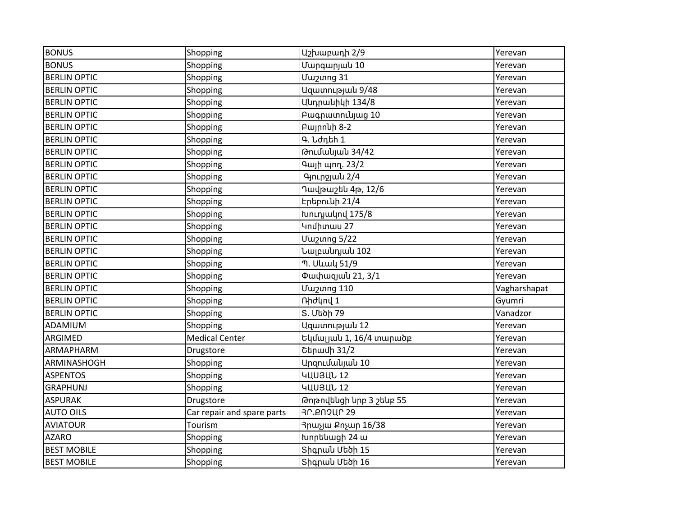| <b>BONUS</b>        | Shopping                   | Աշխաբադի 2/9             | Yerevan      |
|---------------------|----------------------------|--------------------------|--------------|
| <b>BONUS</b>        | Shopping                   | Մարգարյան 10             | Yerevan      |
| <b>BERLIN OPTIC</b> | Shopping                   | Uw <sub>2</sub> ung 31   | Yerevan      |
| <b>BERLIN OPTIC</b> | Shopping                   | UqwunnLpjwl 9/48         | Yerevan      |
| <b>BERLIN OPTIC</b> | Shopping                   | Անդրանիկի 134/8          | Yerevan      |
| <b>BERLIN OPTIC</b> | Shopping                   | Pwqnwunnlujwg 10         | Yerevan      |
| <b>BERLIN OPTIC</b> | Shopping                   | Բայրոևի 8-2              | Yerevan      |
| <b>BERLIN OPTIC</b> | Shopping                   | Գ. Նժդեի 1               | Yerevan      |
| <b>BERLIN OPTIC</b> | Shopping                   | Թումակյան 34/42          | Yerevan      |
| <b>BERLIN OPTIC</b> | Shopping                   | Գայի պող. 23/2           | Yerevan      |
| <b>BERLIN OPTIC</b> | Shopping                   | Գյուրջյան 2/4            | Yerevan      |
| <b>BERLIN OPTIC</b> | Shopping                   | Դավթաշեն 4թ, 12/6        | Yerevan      |
| <b>BERLIN OPTIC</b> | Shopping                   | Էրեբունի 21/4            | Yerevan      |
| <b>BERLIN OPTIC</b> | Shopping                   | Խուդյակով 175/8          | Yerevan      |
| <b>BERLIN OPTIC</b> | Shopping                   | Կոմիտաս 27               | Yerevan      |
| <b>BERLIN OPTIC</b> | Shopping                   | Uw <sub>2</sub> ung 5/22 | Yerevan      |
| <b>BERLIN OPTIC</b> | Shopping                   | Նալբանդյան 102           | Yerevan      |
| <b>BERLIN OPTIC</b> | Shopping                   | Պ. Սևակ 51/9             | Yerevan      |
| <b>BERLIN OPTIC</b> | Shopping                   | Փափազյան 21, 3/1         | Yerevan      |
| <b>BERLIN OPTIC</b> | Shopping                   | Uw2unng 110              | Vagharshapat |
| <b>BERLIN OPTIC</b> | Shopping                   | nhdynų 1                 | Gyumri       |
| <b>BERLIN OPTIC</b> | Shopping                   | S. Մեծի 79               | Vanadzor     |
| ADAMIUM             | Shopping                   | Uqwunnupjwu 12           | Yerevan      |
| ARGIMED             | <b>Medical Center</b>      | Եկմալյան 1, 16/4 տարածբ  | Yerevan      |
| ARMAPHARM           | Drugstore                  | Շերամի 31/2              | Yerevan      |
| ARMINASHOGH         | Shopping                   | Արզումակյան 10           | Yerevan      |
| <b>ASPENTOS</b>     | Shopping                   | ԿԱՍՅԱՆ 12                | Yerevan      |
| <b>GRAPHUNJ</b>     | Shopping                   | ԿԱՍՅԱՆ 12                | Yerevan      |
| <b>ASPURAK</b>      | Drugstore                  | Թոթովենցի նրբ 3 շենբ 55  | Yerevan      |
| <b>AUTO OILS</b>    | Car repair and spare parts | <b>30.2024029</b>        | Yerevan      |
| <b>AVIATOUR</b>     | Tourism                    | ጓրաչյա Քոչար 16/38       | Yerevan      |
| <b>AZARO</b>        | Shopping                   | Խորենացի 24 ա            | Yerevan      |
| <b>BEST MOBILE</b>  | Shopping                   | Տիգրան Մեծի 15           | Yerevan      |
| <b>BEST MOBILE</b>  | Shopping                   | Shqnwl Utibh 16          | Yerevan      |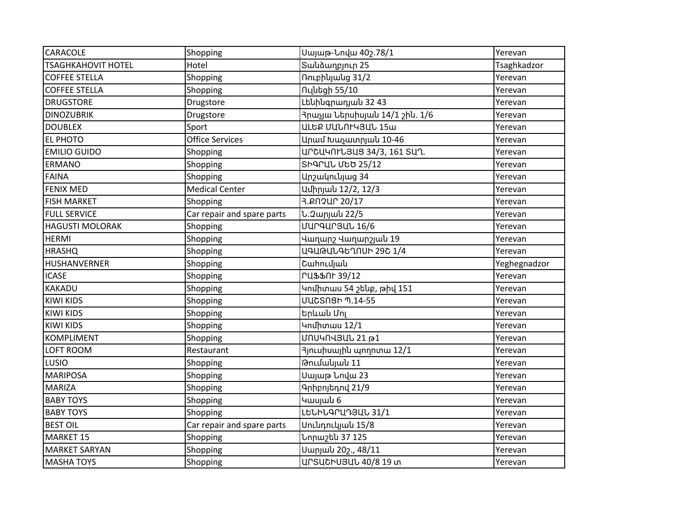| CARACOLE                  | Shopping                   | Սայաթ-Նովա 402.78/1                  | Yerevan      |
|---------------------------|----------------------------|--------------------------------------|--------------|
| <b>TSAGHKAHOVIT HOTEL</b> | Hotel                      | Տաևձաղբյուր 25                       | Tsaghkadzor  |
| <b>COFFEE STELLA</b>      | Shopping                   | nnLphluulug 31/2                     | Yerevan      |
| <b>COFFEE STELLA</b>      | Shopping                   | Ուլնեցի 55/10                        | Yerevan      |
| <b>DRUGSTORE</b>          | Drugstore                  | Լենինգրադյան 32 43                   | Yerevan      |
| <b>DINOZUBRIK</b>         | Drugstore                  | 3րաչյա Ներսիսյան 14/1 շին. 1/6       | Yerevan      |
| <b>DOUBLEX</b>            | Sport                      | ԱԼԵՔ ՄԱՆՈԻԿՅԱՆ 15ա                   | Yerevan      |
| EL PHOTO                  | <b>Office Services</b>     | Արամ Խաչատրյան 10-46                 | Yerevan      |
| <b>EMILIO GUIDO</b>       | Shopping                   | ԱՐՇԱԿՈԻՆՅԱՑ 34/3, 161 ՏԱՂ.           | Yerevan      |
| <b>ERMANO</b>             | Shopping                   | ՏԻԳՐԱՆ ՄԵԾ 25/12                     | Yerevan      |
| <b>FAINA</b>              | Shopping                   | Արշակունյաց 34                       | Yerevan      |
| <b>FENIX MED</b>          | <b>Medical Center</b>      | Ամիրյան 12/2, 12/3                   | Yerevan      |
| <b>FISH MARKET</b>        | Shopping                   | 3.PN2UP 20/17                        | Yerevan      |
| <b>FULL SERVICE</b>       | Car repair and spare parts | Ն.2արյաև 22/5                        | Yerevan      |
| <b>HAGUSTI MOLORAK</b>    | Shopping                   | <b>UUrgUr3UL 16/6</b>                | Yerevan      |
| <b>HERMI</b>              | Shopping                   | Վաղարշ Վաղարշյան 19                  | Yerevan      |
| <b>HRASHQ</b>             | Shopping                   | ԱԳԱԹԱՆԳԵՂՈՍԻ 29Շ 1/4                 | Yerevan      |
| HUSHANVERNER              | Shopping                   | Շաhումյան                            | Yeghegnadzor |
| <b>ICASE</b>              | Shopping                   | <b>ՐԱՖՖՈԻ 39/12</b>                  | Yerevan      |
| KAKADU                    | Shopping                   | Կոմիտաս 54 շենբ, թիվ 151             | Yerevan      |
| <b>KIWI KIDS</b>          | Shopping                   | <b>UUCSNSh 9.14-55</b>               | Yerevan      |
| <b>KIWI KIDS</b>          | Shopping                   | Երևան Մոլ                            | Yerevan      |
| <b>KIWI KIDS</b>          | Shopping                   | Կոմիտաս 12/1                         | Yerevan      |
| <b>KOMPLIMENT</b>         | Shopping                   | UNU4N43UU 21 p1                      | Yerevan      |
| LOFT ROOM                 | Restaurant                 | 3 <sub>l</sub> nւսիսային պողոտա 12/1 | Yerevan      |
| LUSIO                     | Shopping                   | Թումակյակ 11                         | Yerevan      |
| <b>MARIPOSA</b>           | Shopping                   | Սայաթ Նովա 23                        | Yerevan      |
| <b>MARIZA</b>             | Shopping                   | Գրիբոյեդով 21/9                      | Yerevan      |
| <b>BABY TOYS</b>          | Shopping                   | Կասյան 6                             | Yerevan      |
| <b>BABY TOYS</b>          | Shopping                   | ԼԵՆԻՆԳՐԱԴՅԱՆ 31/1                    | Yerevan      |
| <b>BEST OIL</b>           | Car repair and spare parts | Սունդուկյան 15/8                     | Yerevan      |
| <b>MARKET 15</b>          | Shopping                   | Նորաշեն 37 125                       | Yerevan      |
| <b>MARKET SARYAN</b>      | Shopping                   | Uwnjwl 202., 48/11                   | Yerevan      |
| <b>MASHA TOYS</b>         | Shopping                   | UNSUCHUSUL 40/8 19 un                | Yerevan      |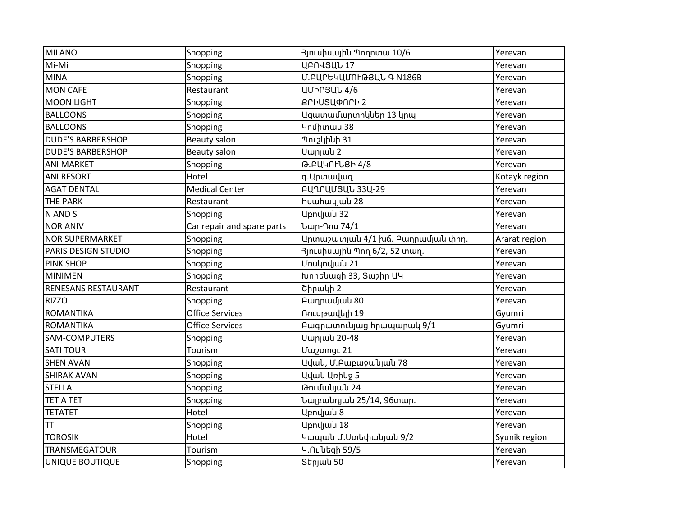| <b>MILANO</b>              | Shopping                   | 3 յուսիսային Պողոտա 10/6                   | Yerevan       |
|----------------------------|----------------------------|--------------------------------------------|---------------|
| Mi-Mi                      | Shopping                   | <b>UPN43UL17</b>                           | Yerevan       |
| <b>MINA</b>                | Shopping                   | Մ.ԲԱՐԵԿԱՄՈԻԹՅԱՆ Գ N186B                    | Yerevan       |
| <b>MON CAFE</b>            | Restaurant                 | <b>UUhr3UL4/6</b>                          | Yerevan       |
| <b>MOON LIGHT</b>          | Shopping                   | <b>ՔՐԻՍՏԱՓՈՐԻ 2</b>                        | Yerevan       |
| <b>BALLOONS</b>            | Shopping                   | Ազատամարտիկներ 13 կրպ                      | Yerevan       |
| <b>BALLOONS</b>            | Shopping                   | Կոմիտաս 38                                 | Yerevan       |
| <b>DUDE'S BARBERSHOP</b>   | Beauty salon               | $\overline{\eta}$ ուշկինի 31               | Yerevan       |
| <b>DUDE'S BARBERSHOP</b>   | Beauty salon               | Uwnjwu 2                                   | Yerevan       |
| <b>ANI MARKET</b>          | Shopping                   | Թ.ԲԱԿՈԻՆՑԻ 4/8                             | Yerevan       |
| <b>ANI RESORT</b>          | Hotel                      | գ. Սրտավազ                                 | Kotayk region |
| <b>AGAT DENTAL</b>         | <b>Medical Center</b>      | <b>PU1PUU3UL 33U-29</b>                    | Yerevan       |
| <b>THE PARK</b>            | Restaurant                 | Իսահակյան 28                               | Yerevan       |
| N AND S                    | Shopping                   | Աբովյան 32                                 | Yerevan       |
| <b>NOR ANIV</b>            | Car repair and spare parts | Նար-Դոս 74/1                               | Yerevan       |
| <b>NOR SUPERMARKET</b>     | Shopping                   | Արտաշատյան 4/1 խճ. Բաղրամյան փող.          | Ararat region |
| PARIS DESIGN STUDIO        | Shopping                   | <mark>3լուսիսայի</mark> ն Պող 6/2, 52 տաղ. | Yerevan       |
| <b>PINK SHOP</b>           | Shopping                   | Մոսկովյան 21                               | Yerevan       |
| <b>MINIMEN</b>             | Shopping                   | Խորենացի 33, Տաշիր ԱԿ                      | Yerevan       |
| <b>RENESANS RESTAURANT</b> | Restaurant                 | Chnwyh 2                                   | Yerevan       |
| <b>RIZZO</b>               | Shopping                   | Բաղրամյան 80                               | Yerevan       |
| <b>ROMANTIKA</b>           | <b>Office Services</b>     | Ռուսթավելի 19                              | Gyumri        |
| <b>ROMANTIKA</b>           | <b>Office Services</b>     | Բագրատունյաց հրապարակ 9/1                  | Gyumri        |
| <b>SAM-COMPUTERS</b>       | Shopping                   | Սարյաև 20-48                               | Yerevan       |
| <b>SATI TOUR</b>           | Tourism                    | <b>Uw</b> 2unngL 21                        | Yerevan       |
| <b>SHEN AVAN</b>           | Shopping                   | Ավաև, Մ.Բաբաջակյաև 78                      | Yerevan       |
| <b>SHIRAK AVAN</b>         | Shopping                   | Ավաև Առիևջ 5                               | Yerevan       |
| <b>STELLA</b>              | Shopping                   | Թումակյան 24                               | Yerevan       |
| <b>TET A TET</b>           | Shopping                   | Նալբանդյան 25/14, 96տար.                   | Yerevan       |
| <b>TETATET</b>             | Hotel                      | Աբովյան 8                                  | Yerevan       |
| <b>TT</b>                  | Shopping                   | Աբովյան 18                                 | Yerevan       |
| <b>TOROSIK</b>             | Hotel                      | Կապան Մ.Ստեփանյան 9/2                      | Syunik region |
| TRANSMEGATOUR              | Tourism                    | Կ.Ուլնեցի 59/5                             | Yerevan       |
| <b>UNIQUE BOUTIQUE</b>     | Shopping                   | Sերյան 50                                  | Yerevan       |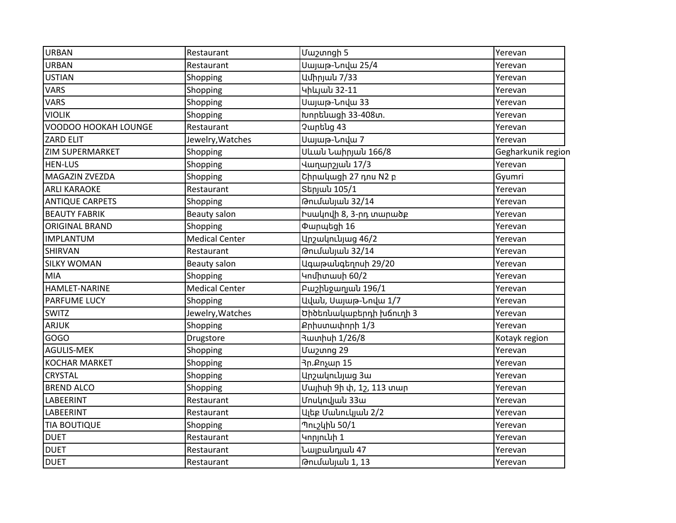| <b>URBAN</b>           | Restaurant            | <b>Uw2ungh 5</b>            | Yerevan            |
|------------------------|-----------------------|-----------------------------|--------------------|
| <b>URBAN</b>           | Restaurant            | Սայաթ-Նովա 25/4             | Yerevan            |
| <b>USTIAN</b>          | Shopping              | Ամիրյան 7/33                | Yerevan            |
| <b>VARS</b>            | Shopping              | Կիևյան 32-11                | Yerevan            |
| <b>VARS</b>            | Shopping              | Սայաթ-Նովա 33               | Yerevan            |
| <b>VIOLIK</b>          | Shopping              | Խորենացի 33-408տ.           | Yerevan            |
| VOODOO HOOKAH LOUNGE   | Restaurant            | Չարենց 43                   | Yerevan            |
| <b>ZARD ELIT</b>       | Jewelry, Watches      | Սայաթ-Նովա 7                | Yerevan            |
| <b>ZIM SUPERMARKET</b> | Shopping              | Սևան Նաիրյան 166/8          | Gegharkunik region |
| <b>HEN-LUS</b>         | Shopping              | Վաղարշյան 17/3              | Yerevan            |
| MAGAZIN ZVEZDA         | Shopping              | Շիրակացի 27 դոս N2 բ        | Gyumri             |
| <b>ARLI KARAOKE</b>    | Restaurant            | Տերյան 105/1                | Yerevan            |
| <b>ANTIQUE CARPETS</b> | Shopping              | Թումանյան 32/14             | Yerevan            |
| <b>BEAUTY FABRIK</b>   | Beauty salon          | Իսակովի 8, 3-րդ տարածբ      | Yerevan            |
| <b>ORIGINAL BRAND</b>  | Shopping              | Փարպեցի 16                  | Yerevan            |
| <b>IMPLANTUM</b>       | <b>Medical Center</b> | Արշակունյաց 46/2            | Yerevan            |
| <b>SHIRVAN</b>         | Restaurant            | Թումակյան 32/14             | Yerevan            |
| <b>SILKY WOMAN</b>     | Beauty salon          | Ագաթանգեղոսի 29/20          | Yerevan            |
| <b>MIA</b>             | Shopping              | Կոմիտասի 60/2               | Yerevan            |
| <b>HAMLET-NARINE</b>   | <b>Medical Center</b> | Բաշինջաղյան 196/1           | Yerevan            |
| <b>PARFUME LUCY</b>    | Shopping              | Ավաև, Սայաթ-Նովա 1/7        | Yerevan            |
| <b>SWITZ</b>           | Jewelry, Watches      | Ծիծեռևակաբերդի խճուղի 3     | Yerevan            |
| <b>ARJUK</b>           | Shopping              | Քրիստափորի 1/3              | Yerevan            |
| GOGO                   | Drugstore             | 3ատիսի 1/26/8               | Kotayk region      |
| <b>AGULIS-MEK</b>      | Shopping              | Uw2unng 29                  | Yerevan            |
| <b>KOCHAR MARKET</b>   | Shopping              | 3ր.Քոչար 15                 | Yerevan            |
| CRYSTAL                | Shopping              | Արշակունյաց 3ա              | Yerevan            |
| <b>BREND ALCO</b>      | Shopping              | Մայիսի 9ի փ, 1շ, 113 տար    | Yerevan            |
| LABEERINT              | Restaurant            | Մոսկովյան 33ա               | Yerevan            |
| LABEERINT              | Restaurant            | Ալեբ Մանուկյան 2/2          | Yerevan            |
| <b>TIA BOUTIQUE</b>    | Shopping              | Պուշկին 50/1                | Yerevan            |
| <b>DUET</b>            | Restaurant            | Կորյունի 1                  | Yerevan            |
| <b>DUET</b>            | Restaurant            | Նալբա <mark>նդյան 47</mark> | Yerevan            |
| <b>DUET</b>            | Restaurant            | Թումակյակ 1, 13             | Yerevan            |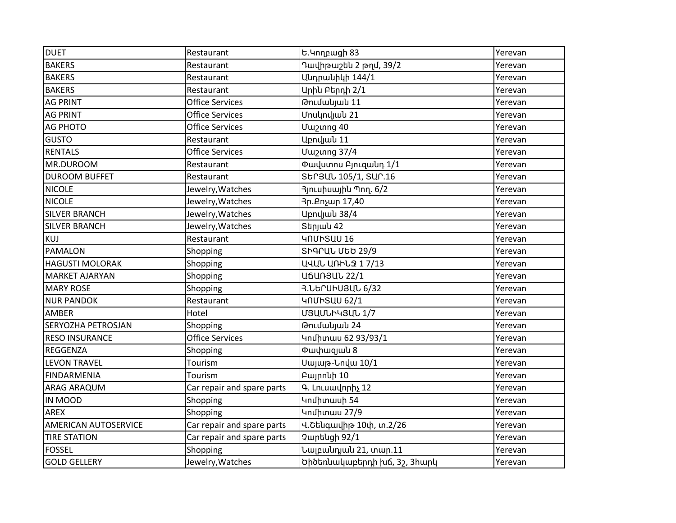| <b>DUET</b>               | Restaurant                 | Ե.Կողբացի 83                             | Yerevan |
|---------------------------|----------------------------|------------------------------------------|---------|
| <b>BAKERS</b>             | Restaurant                 | Դավիթաշեն 2 թղմ, 39/2                    | Yerevan |
| <b>BAKERS</b>             | Restaurant                 | Ա <mark>նդրանիկի 144/1</mark>            | Yerevan |
| <b>BAKERS</b>             | Restaurant                 | Արին Բերդի 2/1                           | Yerevan |
| <b>AG PRINT</b>           | <b>Office Services</b>     | Թումակյան 11                             | Yerevan |
| <b>AG PRINT</b>           | <b>Office Services</b>     | Մոսկովյան 21                             | Yerevan |
| <b>AG PHOTO</b>           | <b>Office Services</b>     | Uw2unng 40                               | Yerevan |
| <b>GUSTO</b>              | Restaurant                 | Աբովյան 11                               | Yerevan |
| <b>RENTALS</b>            | <b>Office Services</b>     | <b>Uw2unng 37/4</b>                      | Yerevan |
| MR.DUROOM                 | Restaurant                 | <b>Փավստոս Բյուցանդ 1/1</b>              | Yerevan |
| <b>DUROOM BUFFET</b>      | Restaurant                 | Str3UL 105/1, SUr.16                     | Yerevan |
| <b>NICOLE</b>             | Jewelry, Watches           | 3 <sub>J</sub> nLuhuwjhu Պող. 6/2        | Yerevan |
| <b>NICOLE</b>             | Jewelry, Watches           | 3ր.Քոչար 17,40                           | Yerevan |
| <b>SILVER BRANCH</b>      | Jewelry, Watches           | Աբովյան 38/4                             | Yerevan |
| <b>SILVER BRANCH</b>      | Jewelry, Watches           | Stpjulu 42                               | Yerevan |
| KUJ                       | Restaurant                 | UNUNSUU 16                               | Yerevan |
| PAMALON                   | Shopping                   | ՏԻԳՐԱՆ ՄԵԾ 29/9                          | Yerevan |
| <b>HAGUSTI MOLORAK</b>    | Shopping                   | ԱՎԱՆ ԱՌԻՆՁ 17/13                         | Yerevan |
| <b>MARKET AJARYAN</b>     | Shopping                   | <b>U6UN3UL 22/1</b>                      | Yerevan |
| <b>MARY ROSE</b>          | Shopping                   | Յ.ՆԵՐՍԻՍՅԱՆ 6/32                         | Yerevan |
| <b>NUR PANDOK</b>         | Restaurant                 | <b>4NUhSUU 62/1</b>                      | Yerevan |
| AMBER                     | Hotel                      | <b>U3UULh43UL1/7</b>                     | Yerevan |
| <b>SERYOZHA PETROSJAN</b> | Shopping                   | Թումակյան 24                             | Yerevan |
| <b>RESO INSURANCE</b>     | <b>Office Services</b>     | Կոմիտաս 62 93/93/1                       | Yerevan |
| <b>REGGENZA</b>           | Shopping                   | <b><i><u><b>O</b>wyhuguulu 8</u></i></b> | Yerevan |
| <b>LEVON TRAVEL</b>       | Tourism                    | Սայաթ-Նովա 10/1                          | Yerevan |
| FINDARMENIA               | Tourism                    | Pwjnnuh 10                               | Yerevan |
| <b>ARAG ARAQUM</b>        | Car repair and spare parts | Գ. Լուսավորիչ 12                         | Yerevan |
| IN MOOD                   | Shopping                   | Կոմիտասի 54                              | Yerevan |
| <b>AREX</b>               | Shopping                   | Կոմիտաս 27/9                             | Yerevan |
| AMERICAN AUTOSERVICE      | Car repair and spare parts | Վ.Շե <mark>նգավիթ 10փ, տ.2/26</mark>     | Yerevan |
| <b>TIRE STATION</b>       | Car repair and spare parts | Չարենցի 92/1                             | Yerevan |
| <b>FOSSEL</b>             | Shopping                   | Նալբանդյան 21, տար.11                    | Yerevan |
| <b>GOLD GELLERY</b>       | Jewelry, Watches           | Ծիծեռնակաբերդի խճ, 3շ, 3հարկ             | Yerevan |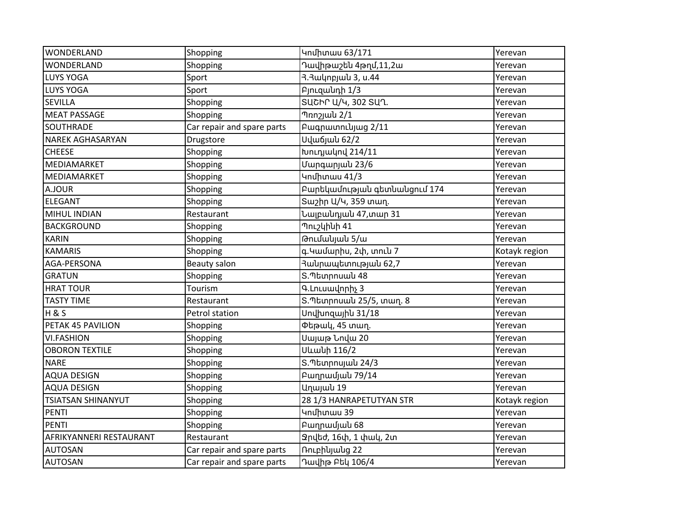| <b>WONDERLAND</b>         | Shopping                   | Կոմիտաս 63/171                   | Yerevan       |
|---------------------------|----------------------------|----------------------------------|---------------|
| WONDERLAND                | Shopping                   | Դավիթաշեն 4թղմ,11,2ա             | Yerevan       |
| LUYS YOGA                 | Sport                      | 3.3ակոբյա <mark>ն 3, ս.44</mark> | Yerevan       |
| LUYS YOGA                 | Sport                      | PjnLqwunh 1/3                    | Yerevan       |
| <b>SEVILLA</b>            | Shopping                   | ՏԱՇԻՐ Ա/Կ, 302 ՏԱՂ.              | Yerevan       |
| <b>MEAT PASSAGE</b>       | Shopping                   | Thn 2/1                          | Yerevan       |
| <b>SOUTHRADE</b>          | Car repair and spare parts | Pwqnwunnlujwg 2/11               | Yerevan       |
| <b>NAREK AGHASARYAN</b>   | Drugstore                  | Սվաճյան 62/2                     | Yerevan       |
| <b>CHEESE</b>             | Shopping                   | Խուդյակով 214/11                 | Yerevan       |
| MEDIAMARKET               | Shopping                   | Մարգարյակ 23/6                   | Yerevan       |
| MEDIAMARKET               | Shopping                   | 4ndhunuu 41/3                    | Yerevan       |
| A.JOUR                    | Shopping                   | Բարեկամության գետնանցում 174     | Yerevan       |
| <b>ELEGANT</b>            | Shopping                   | Sաշիր Ա/Կ, 359 տաղ.              | Yerevan       |
| MIHUL INDIAN              | Restaurant                 | Նալբաևդյաև 47,տար 31             | Yerevan       |
| <b>BACKGROUND</b>         | Shopping                   | Պուշկինի 41                      | Yerevan       |
| <b>KARIN</b>              | Shopping                   | Թումակյակ 5/ա                    | Yerevan       |
| <b>KAMARIS</b>            | Shopping                   | գ.Կամարիս, 2փ, տուն 7            | Kotayk region |
| AGA-PERSONA               | Beauty salon               | 3ակրապետությակ 62,7              | Yerevan       |
| <b>GRATUN</b>             | Shopping                   | Տ.Պետրոսան 48                    | Yerevan       |
| <b>HRAT TOUR</b>          | Tourism                    | Գ.Լուսավորիչ 3                   | Yerevan       |
| <b>TASTY TIME</b>         | Restaurant                 | Տ.Պետրոսան 25/5, տաղ. 8          | Yerevan       |
| H & S                     | Petrol station             | Unylungwjhu 31/18                | Yerevan       |
| PETAK 45 PAVILION         | Shopping                   | Փեթակ, 45 տաղ.                   | Yerevan       |
| <b>VI.FASHION</b>         | Shopping                   | Սայաթ Նովա 20                    | Yerevan       |
| <b>OBORON TEXTILE</b>     | Shopping                   | <b>Ultuluh 116/2</b>             | Yerevan       |
| <b>NARE</b>               | Shopping                   | Տ.Պետրոսյան 24/3                 | Yerevan       |
| <b>AQUA DESIGN</b>        | Shopping                   | Բաղրամյան 79/14                  | Yerevan       |
| <b>AQUA DESIGN</b>        | Shopping                   | Աղայաև 19                        | Yerevan       |
| <b>TSIATSAN SHINANYUT</b> | Shopping                   | 28 1/3 HANRAPETUTYAN STR         | Kotayk region |
| <b>PENTI</b>              | Shopping                   | Կոմիտաս 39                       | Yerevan       |
| <b>PENTI</b>              | Shopping                   | Բաղրամյան 68                     | Yerevan       |
| AFRIKYANNERI RESTAURANT   | Restaurant                 | Չրվեժ, 16փ, 1 փակ, 2տ            | Yerevan       |
| <b>AUTOSAN</b>            | Car repair and spare parts | Ռուբիկյակց 22                    | Yerevan       |
| <b>AUTOSAN</b>            | Car repair and spare parts | Դավիթ Բեկ 106/4                  | Yerevan       |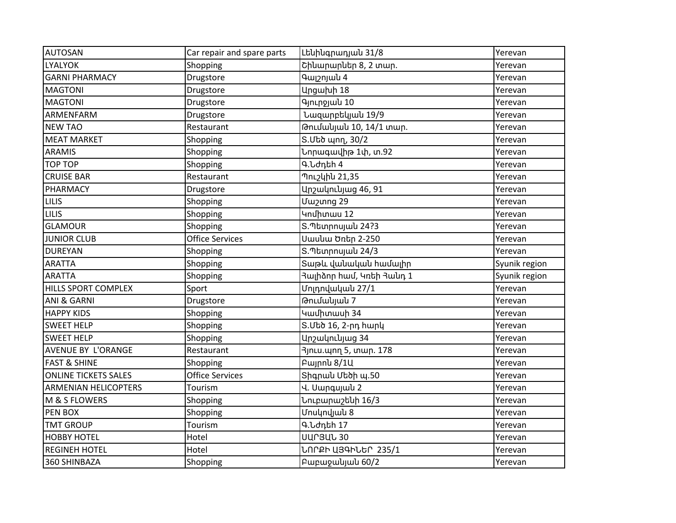| <b>AUTOSAN</b>              | Car repair and spare parts | Լենինգրադյան 31/8                                  | Yerevan       |
|-----------------------------|----------------------------|----------------------------------------------------|---------------|
| <b>LYALYOK</b>              | Shopping                   | Շինարարներ 8, 2 տար.                               | Yerevan       |
| <b>GARNI PHARMACY</b>       | Drugstore                  | <b>9</b> wpnjulu 4                                 | Yerevan       |
| <b>MAGTONI</b>              | Drugstore                  | Արցախի 18                                          | Yerevan       |
| <b>MAGTONI</b>              | Drugstore                  | Գյուրջյան 10                                       | Yerevan       |
| ARMENFARM                   | Drugstore                  | Նազարբեկյան 19/9                                   | Yerevan       |
| <b>NEW TAO</b>              | Restaurant                 | Թումակյան 10, 14/1 տար.                            | Yerevan       |
| <b>MEAT MARKET</b>          | Shopping                   | S. Մեծ պող, 30/2                                   | Yerevan       |
| <b>ARAMIS</b>               | Shopping                   | Նորագավիթ 1փ, տ.92                                 | Yerevan       |
| <b>TOP TOP</b>              | Shopping                   | Գ.Նժդեի 4                                          | Yerevan       |
| <b>CRUISE BAR</b>           | Restaurant                 | Պուշկին 21,35                                      | Yerevan       |
| PHARMACY                    | Drugstore                  | Արշակունյաց 46, 91                                 | Yerevan       |
| <b>LILIS</b>                | Shopping                   | Uw2unng 29                                         | Yerevan       |
| <b>LILIS</b>                | Shopping                   | Կոմիտաս 12                                         | Yerevan       |
| <b>GLAMOUR</b>              | Shopping                   | Տ.Պետրոսյան 24?3                                   | Yerevan       |
| <b>JUNIOR CLUB</b>          | <b>Office Services</b>     | Սասևա Ծռեր 2-250                                   | Yerevan       |
| <b>DUREYAN</b>              | Shopping                   | Տ.Պետրոսյան 24/3                                   | Yerevan       |
| <b>ARATTA</b>               | Shopping                   | Տաթև վանական համալիր                               | Syunik region |
| <b>ARATTA</b>               | Shopping                   | <mark>Յայի</mark> ծոր համ, Կռեի <del>Յ</del> աևդ 1 | Syunik region |
| HILLS SPORT COMPLEX         | Sport                      | Մոլդովական 27/1                                    | Yerevan       |
| ANI & GARNI                 | Drugstore                  | Թումակյան 7                                        | Yerevan       |
| <b>HAPPY KIDS</b>           | Shopping                   | Կամիտասի 34                                        | Yerevan       |
| <b>SWEET HELP</b>           | Shopping                   | Տ.Մեծ 16, 2-րդ հարկ                                | Yerevan       |
| <b>SWEET HELP</b>           | Shopping                   | Արշակունյաց 34                                     | Yerevan       |
| AVENUE BY L'ORANGE          | Restaurant                 | 3յուս.պող 5, տար. 178                              | Yerevan       |
| <b>FAST &amp; SHINE</b>     | Shopping                   | Pwinnu 8/1U                                        | Yerevan       |
| <b>ONLINE TICKETS SALES</b> | <b>Office Services</b>     | Տիգրան Մեծի պ.50                                   | Yerevan       |
| <b>ARMENIAN HELICOPTERS</b> | Tourism                    | Վ. Սարգսյաև 2                                      | Yerevan       |
| M & S FLOWERS               | Shopping                   | Նուբարաշենի 16/3                                   | Yerevan       |
| PEN BOX                     | Shopping                   | Մոսկովյան 8                                        | Yerevan       |
| <b>TMT GROUP</b>            | Tourism                    | Գ.Նժդեի 17                                         | Yerevan       |
| <b>HOBBY HOTEL</b>          | Hotel                      | <b>UUՐՅԱՆ 30</b>                                   | Yerevan       |
| <b>REGINEH HOTEL</b>        | Hotel                      | ՆՈՐՔԻ ԱՅԳԻՆԵՐ 235/1                                | Yerevan       |
| 360 SHINBAZA                | Shopping                   | Pwpwywlywlu 60/2                                   | Yerevan       |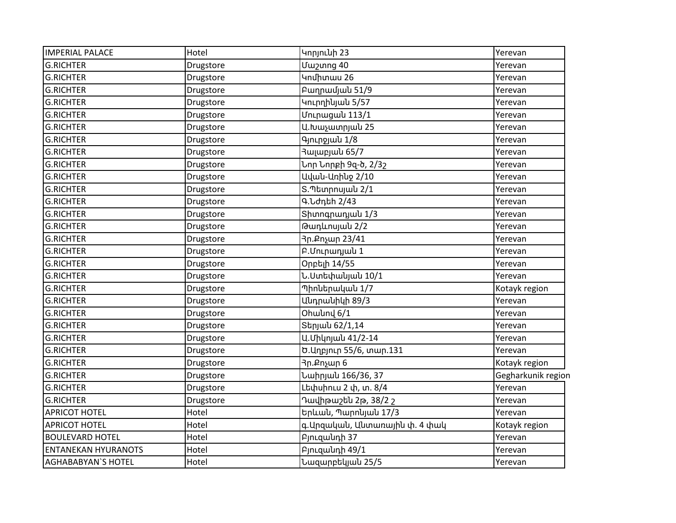| <b>IMPERIAL PALACE</b>     | Hotel     | Կորյունի 23                      | Yerevan            |
|----------------------------|-----------|----------------------------------|--------------------|
| <b>G.RICHTER</b>           | Drugstore | Uw <sub>2</sub> ung 40           | Yerevan            |
| <b>G.RICHTER</b>           | Drugstore | Կոմիտաս 26                       | Yerevan            |
| <b>G.RICHTER</b>           | Drugstore | Բաղրամյան 51/9                   | Yerevan            |
| <b>G.RICHTER</b>           | Drugstore | Կուրդիկյակ 5/57                  | Yerevan            |
| <b>G.RICHTER</b>           | Drugstore | Մուրացաև 113/1                   | Yerevan            |
| <b>G.RICHTER</b>           | Drugstore | Ա.Խաչատրյան 25                   | Yerevan            |
| <b>G.RICHTER</b>           | Drugstore | Գյուրջյան 1/8                    | Yerevan            |
| <b>G.RICHTER</b>           | Drugstore | Յալաբյաև 65/7                    | Yerevan            |
| <b>G.RICHTER</b>           | Drugstore | Նոր Նորբի 9զ-ծ, 2/3 <sub>2</sub> | Yerevan            |
| <b>G.RICHTER</b>           | Drugstore | Ավաև-Առիևջ 2/10                  | Yerevan            |
| <b>G.RICHTER</b>           | Drugstore | Տ.Պետրոսյան 2/1                  | Yerevan            |
| <b>G.RICHTER</b>           | Drugstore | Գ.Նժդեի 2/43                     | Yerevan            |
| <b>G.RICHTER</b>           | Drugstore | Shunnqnunjulu 1/3                | Yerevan            |
| <b>G.RICHTER</b>           | Drugstore | Թադևոսյան 2/2                    | Yerevan            |
| <b>G.RICHTER</b>           | Drugstore | 3ր.Քոչար 23/41                   | Yerevan            |
| <b>G.RICHTER</b>           | Drugstore | P.Մուրադյան 1                    | Yerevan            |
| <b>G.RICHTER</b>           | Drugstore | Օրբելի 14/55                     | Yerevan            |
| <b>G.RICHTER</b>           | Drugstore | Ն.Ստեփակյան 10/1                 | Yerevan            |
| <b>G.RICHTER</b>           | Drugstore | Պիոևերակաև 1/7                   | Kotayk region      |
| <b>G.RICHTER</b>           | Drugstore | Անդրանիկի 89/3                   | Yerevan            |
| <b>G.RICHTER</b>           | Drugstore | Ohwund 6/1                       | Yerevan            |
| <b>G.RICHTER</b>           | Drugstore | Տերյան 62/1,14                   | Yerevan            |
| <b>G.RICHTER</b>           | Drugstore | Ա.Միկոյան 41/2-14                | Yerevan            |
| <b>G.RICHTER</b>           | Drugstore | Ծ. Աղբյուր 55/6, տար. 131        | Yerevan            |
| <b>G.RICHTER</b>           | Drugstore | 3ր.Քոչար 6                       | Kotayk region      |
| <b>G.RICHTER</b>           | Drugstore | Նաիրյան 166/36, 37               | Gegharkunik region |
| <b>G.RICHTER</b>           | Drugstore | Լեփսիուս 2 փ, տ. 8/4             | Yerevan            |
| <b>G.RICHTER</b>           | Drugstore | Դավիթաշեն 2թ, 38/2 շ             | Yerevan            |
| <b>APRICOT HOTEL</b>       | Hotel     | Երևան, Պարոնյան 17/3             | Yerevan            |
| <b>APRICOT HOTEL</b>       | Hotel     | գ.Արզական, Անտառային փ. 4 փակ    | Kotayk region      |
| <b>BOULEVARD HOTEL</b>     | Hotel     | PjnLqwunh 37                     | Yerevan            |
| <b>ENTANEKAN HYURANOTS</b> | Hotel     | PjnLqwlunh 49/1                  | Yerevan            |
| <b>AGHABABYAN'S HOTEL</b>  | Hotel     | Նազարբեկյան 25/5                 | Yerevan            |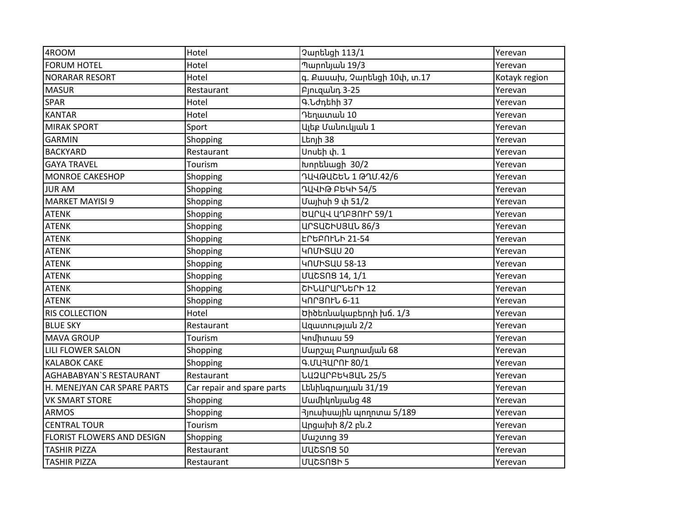| 4ROOM                             | Hotel                      | Չարենցի 113/1               | Yerevan       |
|-----------------------------------|----------------------------|-----------------------------|---------------|
| <b>FORUM HOTEL</b>                | Hotel                      | Պարոկյան 19/3               | Yerevan       |
| <b>NORARAR RESORT</b>             | Hotel                      | գ. Քասախ, Չարենցի 10փ, տ.17 | Kotayk region |
| <b>MASUR</b>                      | Restaurant                 | PinLqwun 3-25               | Yerevan       |
| <b>SPAR</b>                       | Hotel                      | Գ.Նժդեիի 37                 | Yerevan       |
| <b>KANTAR</b>                     | Hotel                      | Դեղատաև 10                  | Yerevan       |
| <b>MIRAK SPORT</b>                | Sport                      | Ալեբ Մաևուկյաև 1            | Yerevan       |
| <b>GARMIN</b>                     | Shopping                   | Լեոյի 38                    | Yerevan       |
| <b>BACKYARD</b>                   | Restaurant                 | Սոսեի փ. 1                  | Yerevan       |
| <b>GAYA TRAVEL</b>                | Tourism                    | Խորենացի 30/2               | Yerevan       |
| <b>MONROE CAKESHOP</b>            | Shopping                   | __<br>านุนผนุธษา 1 ผาบ.42/6 | Yerevan       |
| <b>JURAM</b>                      | Shopping                   | ԴԱՎԻԹ ԲԵԿԻ 54/5             | Yerevan       |
| <b>MARKET MAYISI 9</b>            | Shopping                   | Մայիսի 9 փ 51/2             | Yerevan       |
| <b>ATENK</b>                      | Shopping                   | ԾԱՐԱՎ ԱՂԲՅՈԻՐ 59/1          | Yerevan       |
| <b>ATENK</b>                      | Shopping                   | <b>UrSUCHU3UL 86/3</b>      | Yerevan       |
| <b>ATENK</b>                      | Shopping                   | ԵՐԵԲՈԻՆԻ 21-54              | Yerevan       |
| <b>ATENK</b>                      | Shopping                   | <b>4NUHSUU 20</b>           | Yerevan       |
| <b>ATENK</b>                      | Shopping                   | <b>4NUhSUU 58-13</b>        | Yerevan       |
| <b>ATENK</b>                      | Shopping                   | <b>UUCSNS 14, 1/1</b>       | Yerevan       |
| <b>ATENK</b>                      | Shopping                   | ՇԻՆԱՐԱՐՆԵՐԻ 12              | Yerevan       |
| <b>ATENK</b>                      | Shopping                   | ԿՈՐՅՈԻՆ 6-11                | Yerevan       |
| <b>RIS COLLECTION</b>             | Hotel                      | Ծիծեռնակաբերդի խճ. 1/3      | Yerevan       |
| <b>BLUE SKY</b>                   | Restaurant                 | Ազատության 2/2              | Yerevan       |
| <b>MAVA GROUP</b>                 | Tourism                    | Կոմիտաս 59                  | Yerevan       |
| <b>LILI FLOWER SALON</b>          | Shopping                   | Մարշալ Բաղրամյան 68         | Yerevan       |
| <b>KALABOK CAKE</b>               | Shopping                   | Գ.ՄԱՅԱՐՈԻ 80/1              | Yerevan       |
| <b>AGHABABYAN'S RESTAURANT</b>    | Restaurant                 | ՆԱշԱՐԲԵԿՅԱՆ 25/5            | Yerevan       |
| H. MENEJYAN CAR SPARE PARTS       | Car repair and spare parts | Լենինգրադյան 31/19          | Yerevan       |
| <b>VK SMART STORE</b>             | Shopping                   | Մամիկոնյանց 48              | Yerevan       |
| <b>ARMOS</b>                      | Shopping                   | 3յուսիսային պողոտա 5/189    | Yerevan       |
| <b>CENTRAL TOUR</b>               | Tourism                    | Արցախի 8/2 բև.2             | Yerevan       |
| <b>FLORIST FLOWERS AND DESIGN</b> | Shopping                   | Uw2unng 39                  | Yerevan       |
| <b>TASHIR PIZZA</b>               | Restaurant                 | <b>UUCSNS 50</b>            | Yerevan       |
| <b>TASHIR PIZZA</b>               | Restaurant                 | UUCSNSh 5                   | Yerevan       |